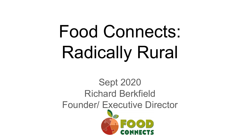# Food Connects: Radically Rural

Sept 2020 Richard Berkfield Founder/ Executive Director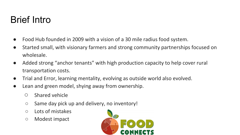### Brief Intro

- Food Hub founded in 2009 with a vision of a 30 mile radius food system.
- Started small, with visionary farmers and strong community partnerships focused on wholesale.
- Added strong "anchor tenants" with high production capacity to help cover rural transportation costs.
- Trial and Error, learning mentality, evolving as outside world also evolved.
- Lean and green model, shying away from ownership.
	- Shared vehicle
	- Same day pick up and delivery, no inventory!
	- Lots of mistakes
	- Modest impact

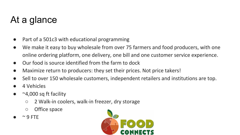## At a glance

- Part of a 501c3 with educational programming
- We make it easy to buy wholesale from over 75 farmers and food producers, with one online ordering platform, one delivery, one bill and one customer service experience.
- Our food is source identified from the farm to dock
- Maximize return to producers: they set their prices. Not price takers!
- Sell to over 150 wholesale customers, independent retailers and institutions are top.
- 4 Vehicles
- $\bullet$   $\sim$  4,000 sq ft facility
	- 2 Walk-in coolers, walk-in freezer, dry storage
	- Office space
- $\sim$  9 FTF

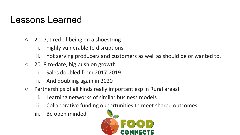#### Lessons Learned

- 2017, tired of being on a shoestring!
	- i. highly vulnerable to disruptions
	- ii. not serving producers and customers as well as should be or wanted to.
- $\circ$  2018 to-date, big push on growth!
	- i. Sales doubled from 2017-2019
	- ii. And doubling again in 2020
- Partnerships of all kinds really important esp in Rural areas!
	- i. Learning networks of similar business models
	- ii. Collaborative funding opportunities to meet shared outcomes
	- iii. Be open minded

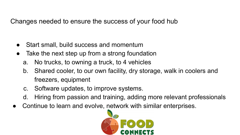Changes needed to ensure the success of your food hub

- Start small, build success and momentum
- Take the next step up from a strong foundation
	- a. No trucks, to owning a truck, to 4 vehicles
	- b. Shared cooler, to our own facility, dry storage, walk in coolers and freezers, equipment
	- c. Software updates, to improve systems.
	- d. Hiring from passion and training, adding more relevant professionals
- Continue to learn and evolve, network with similar enterprises.

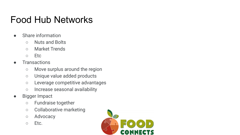## Food Hub Networks

- Share information
	- Nuts and Bolts
	- Market Trends
	- Etc
- Transactions
	- Move surplus around the region
	- Unique value added products
	- Leverage competitive advantages
	- Increase seasonal availability
- Bigger Impact
	- Fundraise together
	- Collaborative marketing
	- Advocacy
	- Etc.

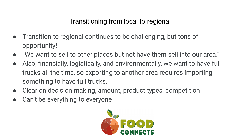#### Transitioning from local to regional

- Transition to regional continues to be challenging, but tons of opportunity!
- "We want to sell to other places but not have them sell into our area."
- Also, financially, logistically, and environmentally, we want to have full trucks all the time, so exporting to another area requires importing something to have full trucks.
- Clear on decision making, amount, product types, competition
- Can't be everything to everyone

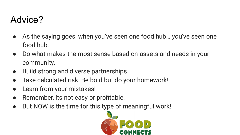#### Advice?

- As the saying goes, when you've seen one food hub... you've seen one food hub.
- Do what makes the most sense based on assets and needs in your community.
- Build strong and diverse partnerships
- Take calculated risk. Be bold but do your homework!
- Learn from your mistakes!
- Remember, its not easy or profitable!
- But NOW is the time for this type of meaningful work!